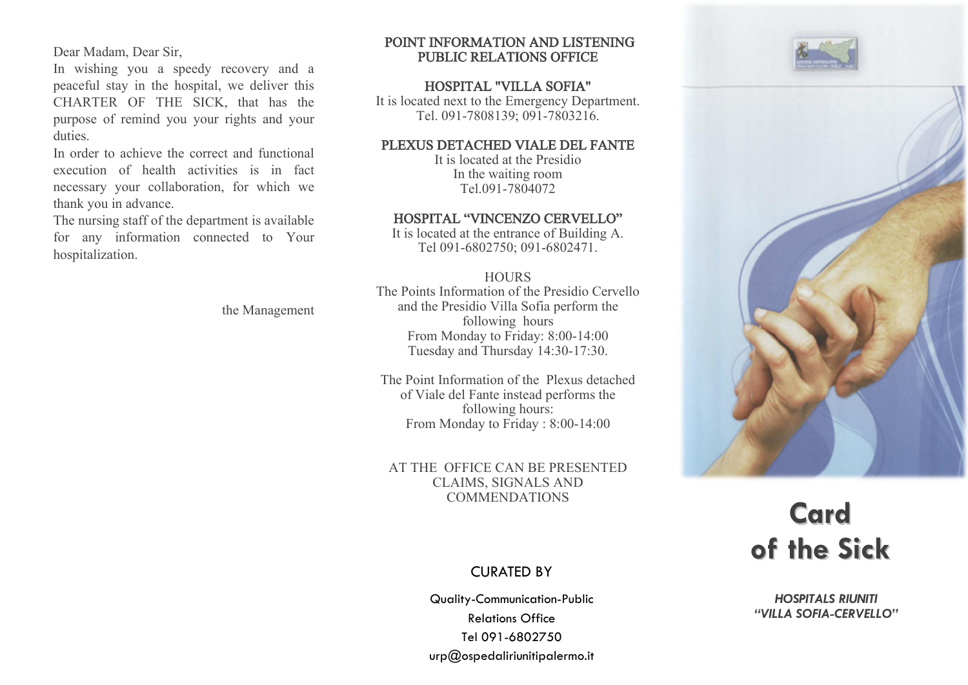Dear Madam, Dear Sir,

In wishing you a speedy recovery and a peaceful stay in the hospital, we deliver this CHARTER OF THE SICK, that has the purpose of remind you your rights and your duties.

In order to achieve the correct and functional execution of health activities is in fact necessary your collaboration, for which we thank you in advance.

The nursing staff of the department is available for any information connected to Your hospitalization.

the Management

### POINT INFORMATION AND LISTENING PUBLIC RELATIONS OFFICE

## HOSPITAL "VILLA SOFIA"

It is located next to the Emergency Department. Tel. 091-7808139; 091-7803216.

# PLEXUS DETACHED VIALE DEL FANTE

It is located at the Presidio In the waiting room Tel.091-7804072

# HOSPITAL "VINCENZO CERVELLO"

It is located at the entrance of Building A. Tel 091-6802750; 091-6802471.

### **HOURS**

The Points Information of the Presidio Cervello and the Presidio Villa Sofia perform the following hours From Monday to Friday: 8:00-14:00 Tuesday and Thursday 14:30-17:30.

The Point Information of the Plexus detached of Viale del Fante instead performs the following hours: From Monday to Friday : 8:00-14:00

### AT THE OFFICE CAN BE PRESENTED CLAIMS, SIGNALS AND COMMENDATIONS

# CURATED BY

Quality-Communication-Public Relations Office Tel 091-6802750 urp@ospedaliriunitipalermo.it





# **Card of the Sick**

*HOSPITALS RIUNITI "VILLA SOFIA-CERVELLO"*